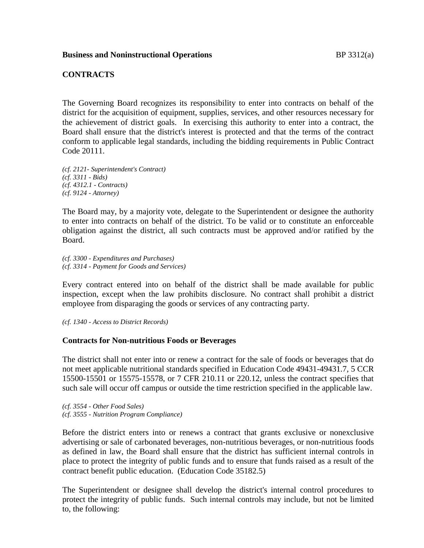### **Business and Noninstructional Operations** BP 3312(a)

#### **CONTRACTS**

The Governing Board recognizes its responsibility to enter into contracts on behalf of the district for the acquisition of equipment, supplies, services, and other resources necessary for the achievement of district goals. In exercising this authority to enter into a contract, the Board shall ensure that the district's interest is protected and that the terms of the contract conform to applicable legal standards, including the bidding requirements in Public Contract Code 20111.

*(cf. 2121- Superintendent's Contract) (cf. 3311 - Bids) (cf. 4312.1 - Contracts) (cf. 9124 - Attorney)*

The Board may, by a majority vote, delegate to the Superintendent or designee the authority to enter into contracts on behalf of the district. To be valid or to constitute an enforceable obligation against the district, all such contracts must be approved and/or ratified by the Board.

*(cf. 3300 - Expenditures and Purchases) (cf. 3314 - Payment for Goods and Services)*

Every contract entered into on behalf of the district shall be made available for public inspection, except when the law prohibits disclosure. No contract shall prohibit a district employee from disparaging the goods or services of any contracting party.

*(cf. 1340 - Access to District Records)*

### **Contracts for Non-nutritious Foods or Beverages**

The district shall not enter into or renew a contract for the sale of foods or beverages that do not meet applicable nutritional standards specified in Education Code 49431-49431.7, 5 CCR 15500-15501 or 15575-15578, or 7 CFR 210.11 or 220.12, unless the contract specifies that such sale will occur off campus or outside the time restriction specified in the applicable law.

*(cf. 3554 - Other Food Sales) (cf. 3555 - Nutrition Program Compliance)*

Before the district enters into or renews a contract that grants exclusive or nonexclusive advertising or sale of carbonated beverages, non-nutritious beverages, or non-nutritious foods as defined in law, the Board shall ensure that the district has sufficient internal controls in place to protect the integrity of public funds and to ensure that funds raised as a result of the contract benefit public education. (Education Code 35182.5)

The Superintendent or designee shall develop the district's internal control procedures to protect the integrity of public funds. Such internal controls may include, but not be limited to, the following: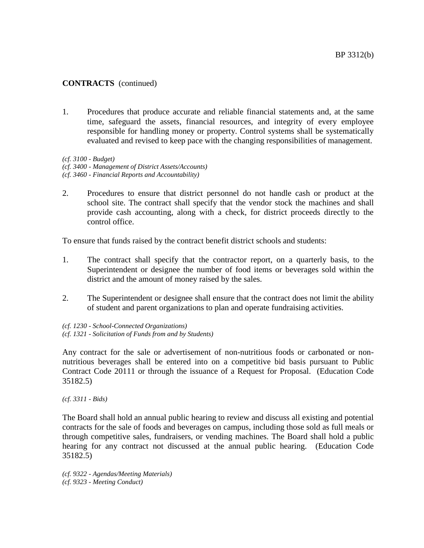1. Procedures that produce accurate and reliable financial statements and, at the same time, safeguard the assets, financial resources, and integrity of every employee responsible for handling money or property. Control systems shall be systematically evaluated and revised to keep pace with the changing responsibilities of management.

*(cf. 3100 - Budget) (cf. 3400 - Management of District Assets/Accounts) (cf. 3460 - Financial Reports and Accountability)*

2. Procedures to ensure that district personnel do not handle cash or product at the school site. The contract shall specify that the vendor stock the machines and shall provide cash accounting, along with a check, for district proceeds directly to the control office.

To ensure that funds raised by the contract benefit district schools and students:

- 1. The contract shall specify that the contractor report, on a quarterly basis, to the Superintendent or designee the number of food items or beverages sold within the district and the amount of money raised by the sales.
- 2. The Superintendent or designee shall ensure that the contract does not limit the ability of student and parent organizations to plan and operate fundraising activities.

*(cf. 1230 - School-Connected Organizations) (cf. 1321 - Solicitation of Funds from and by Students)*

Any contract for the sale or advertisement of non-nutritious foods or carbonated or nonnutritious beverages shall be entered into on a competitive bid basis pursuant to Public Contract Code 20111 or through the issuance of a Request for Proposal. (Education Code 35182.5)

*(cf. 3311 - Bids)*

The Board shall hold an annual public hearing to review and discuss all existing and potential contracts for the sale of foods and beverages on campus, including those sold as full meals or through competitive sales, fundraisers, or vending machines. The Board shall hold a public hearing for any contract not discussed at the annual public hearing. (Education Code 35182.5)

*(cf. 9322 - Agendas/Meeting Materials) (cf. 9323 - Meeting Conduct)*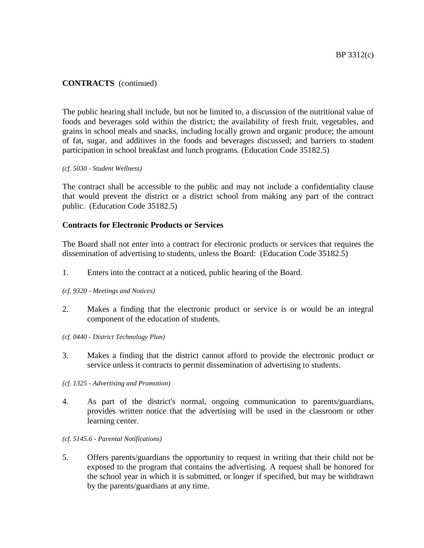The public hearing shall include, but not be limited to, a discussion of the nutritional value of foods and beverages sold within the district; the availability of fresh fruit, vegetables, and grains in school meals and snacks, including locally grown and organic produce; the amount of fat, sugar, and additives in the foods and beverages discussed; and barriers to student participation in school breakfast and lunch programs. (Education Code 35182.5)

#### *(cf. 5030 - Student Wellness)*

The contract shall be accessible to the public and may not include a confidentiality clause that would prevent the district or a district school from making any part of the contract public. (Education Code 35182.5)

### **Contracts for Electronic Products or Services**

The Board shall not enter into a contract for electronic products or services that requires the dissemination of advertising to students, unless the Board: (Education Code 35182.5)

- 1. Enters into the contract at a noticed, public hearing of the Board.
- *(cf. 9320 - Meetings and Notices)*
- 2. Makes a finding that the electronic product or service is or would be an integral component of the education of students.
- *(cf. 0440 - District Technology Plan)*
- 3. Makes a finding that the district cannot afford to provide the electronic product or service unless it contracts to permit dissemination of advertising to students.
- *(cf. 1325 - Advertising and Promotion)*
- 4. As part of the district's normal, ongoing communication to parents/guardians, provides written notice that the advertising will be used in the classroom or other learning center.
- *(cf. 5145.6 - Parental Notifications)*
- 5. Offers parents/guardians the opportunity to request in writing that their child not be exposed to the program that contains the advertising. A request shall be honored for the school year in which it is submitted, or longer if specified, but may be withdrawn by the parents/guardians at any time.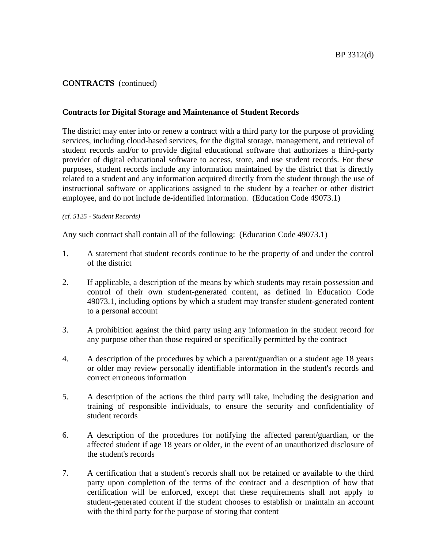### **Contracts for Digital Storage and Maintenance of Student Records**

The district may enter into or renew a contract with a third party for the purpose of providing services, including cloud-based services, for the digital storage, management, and retrieval of student records and/or to provide digital educational software that authorizes a third-party provider of digital educational software to access, store, and use student records. For these purposes, student records include any information maintained by the district that is directly related to a student and any information acquired directly from the student through the use of instructional software or applications assigned to the student by a teacher or other district employee, and do not include de-identified information. (Education Code 49073.1)

#### *(cf. 5125 - Student Records)*

Any such contract shall contain all of the following: (Education Code 49073.1)

- 1. A statement that student records continue to be the property of and under the control of the district
- 2. If applicable, a description of the means by which students may retain possession and control of their own student-generated content, as defined in Education Code 49073.1, including options by which a student may transfer student-generated content to a personal account
- 3. A prohibition against the third party using any information in the student record for any purpose other than those required or specifically permitted by the contract
- 4. A description of the procedures by which a parent/guardian or a student age 18 years or older may review personally identifiable information in the student's records and correct erroneous information
- 5. A description of the actions the third party will take, including the designation and training of responsible individuals, to ensure the security and confidentiality of student records
- 6. A description of the procedures for notifying the affected parent/guardian, or the affected student if age 18 years or older, in the event of an unauthorized disclosure of the student's records
- 7. A certification that a student's records shall not be retained or available to the third party upon completion of the terms of the contract and a description of how that certification will be enforced, except that these requirements shall not apply to student-generated content if the student chooses to establish or maintain an account with the third party for the purpose of storing that content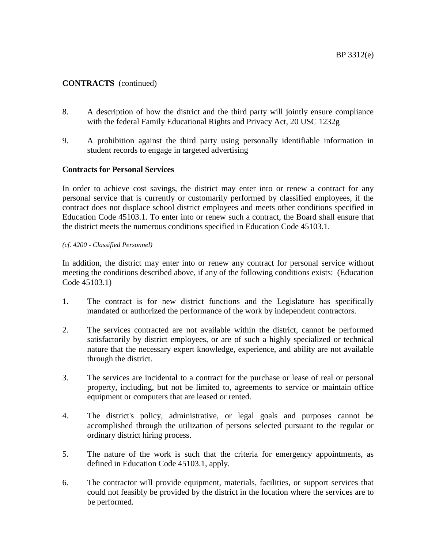- 8. A description of how the district and the third party will jointly ensure compliance with the federal Family Educational Rights and Privacy Act, 20 USC 1232g
- 9. A prohibition against the third party using personally identifiable information in student records to engage in targeted advertising

### **Contracts for Personal Services**

In order to achieve cost savings, the district may enter into or renew a contract for any personal service that is currently or customarily performed by classified employees, if the contract does not displace school district employees and meets other conditions specified in Education Code 45103.1. To enter into or renew such a contract, the Board shall ensure that the district meets the numerous conditions specified in Education Code 45103.1.

#### *(cf. 4200 - Classified Personnel)*

In addition, the district may enter into or renew any contract for personal service without meeting the conditions described above, if any of the following conditions exists: (Education Code 45103.1)

- 1. The contract is for new district functions and the Legislature has specifically mandated or authorized the performance of the work by independent contractors.
- 2. The services contracted are not available within the district, cannot be performed satisfactorily by district employees, or are of such a highly specialized or technical nature that the necessary expert knowledge, experience, and ability are not available through the district.
- 3. The services are incidental to a contract for the purchase or lease of real or personal property, including, but not be limited to, agreements to service or maintain office equipment or computers that are leased or rented.
- 4. The district's policy, administrative, or legal goals and purposes cannot be accomplished through the utilization of persons selected pursuant to the regular or ordinary district hiring process.
- 5. The nature of the work is such that the criteria for emergency appointments, as defined in Education Code 45103.1, apply.
- 6. The contractor will provide equipment, materials, facilities, or support services that could not feasibly be provided by the district in the location where the services are to be performed.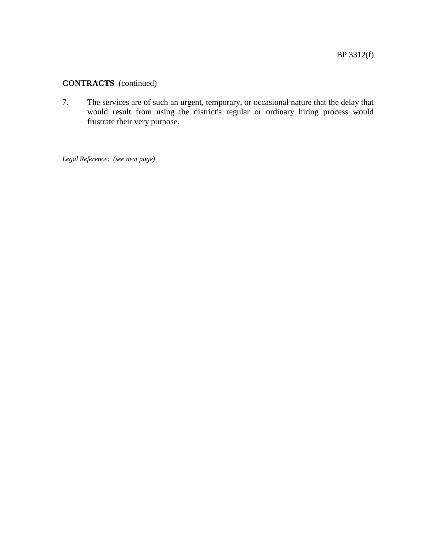7. The services are of such an urgent, temporary, or occasional nature that the delay that would result from using the district's regular or ordinary hiring process would frustrate their very purpose.

*Legal Reference: (see next page)*